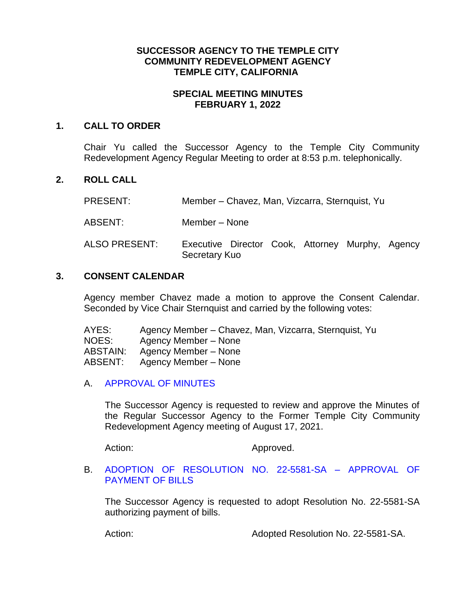### **SUCCESSOR AGENCY TO THE TEMPLE CITY COMMUNITY REDEVELOPMENT AGENCY TEMPLE CITY, CALIFORNIA**

# **SPECIAL MEETING MINUTES FEBRUARY 1, 2022**

#### **1. CALL TO ORDER**

Chair Yu called the Successor Agency to the Temple City Community Redevelopment Agency Regular Meeting to order at 8:53 p.m. telephonically.

# **2. ROLL CALL**

PRESENT: Member – Chavez, Man, Vizcarra, Sternquist, Yu

ABSENT: Member – None

ALSO PRESENT: Executive Director Cook, Attorney Murphy, Agency Secretary Kuo

### **3. CONSENT CALENDAR**

Agency member Chavez made a motion to approve the Consent Calendar. Seconded by Vice Chair Sternquist and carried by the following votes:

AYES: Agency Member – Chavez, Man, Vizcarra, Sternquist, Yu NOES: Agency Member – None ABSTAIN: Agency Member – None ABSENT: Agency Member – None

# A. [APPROVAL OF MINUTES](https://www.ci.temple-city.ca.us/DocumentCenter/View/17377/10-3A_SAM---2021-08-17)

The Successor Agency is requested to review and approve the Minutes of the Regular Successor Agency to the Former Temple City Community Redevelopment Agency meeting of August 17, 2021.

Action: Approved.

### B. [ADOPTION OF RESOLUTION](https://www.ci.temple-city.ca.us/DocumentCenter/View/17378/11-3B_Reso-No-21-5581-SA-20122---Warrants--Demands-FY-2021-22) NO. 22-5581-SA – APPROVAL OF [PAYMENT OF BILLS](https://www.ci.temple-city.ca.us/DocumentCenter/View/17378/11-3B_Reso-No-21-5581-SA-20122---Warrants--Demands-FY-2021-22)

The Successor Agency is requested to adopt Resolution No. 22-5581-SA authorizing payment of bills.

Action: Adopted Resolution No. 22-5581-SA.